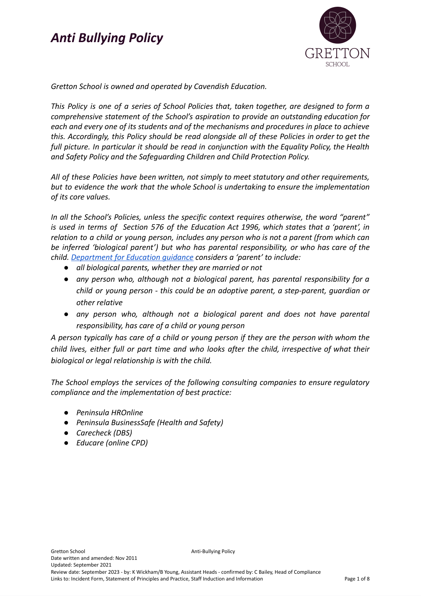

*Gretton School is owned and operated by Cavendish Education.*

*This Policy is one of a series of School Policies that, taken together, are designed to form a comprehensive statement of the School's aspiration to provide an outstanding education for each and every one of its students and of the mechanisms and procedures in place to achieve this. Accordingly, this Policy should be read alongside all of these Policies in order to get the full picture. In particular it should be read in conjunction with the Equality Policy, the Health and Safety Policy and the Safeguarding Children and Child Protection Policy.*

*All of these Policies have been written, not simply to meet statutory and other requirements, but to evidence the work that the whole School is undertaking to ensure the implementation of its core values.*

*In all the School's Policies, unless the specific context requires otherwise, the word "parent" is used in terms of Section 576 of the Education Act 1996, which states that a 'parent', in relation to a child or young person, includes any person who is not a parent (from which can be inferred 'biological parent') but who has parental responsibility, or who has care of the child. [Department](https://www.gov.uk/government/publications/dealing-with-issues-relating-to-parental-responsibility/understanding-and-dealing-with-issues-relating-to-parental-responsibility) for Education guidance considers a 'parent' to include:*

- *● all biological parents, whether they are married or not*
- *● any person who, although not a biological parent, has parental responsibility for a child or young person - this could be an adoptive parent, a step-parent, guardian or other relative*
- *● any person who, although not a biological parent and does not have parental responsibility, has care of a child or young person*

*A person typically has care of a child or young person if they are the person with whom the child lives, either full or part time and who looks after the child, irrespective of what their biological or legal relationship is with the child.*

*The School employs the services of the following consulting companies to ensure regulatory compliance and the implementation of best practice:*

- *● Peninsula HROnline*
- *● Peninsula BusinessSafe (Health and Safety)*
- *● Carecheck (DBS)*
- *● Educare (online CPD)*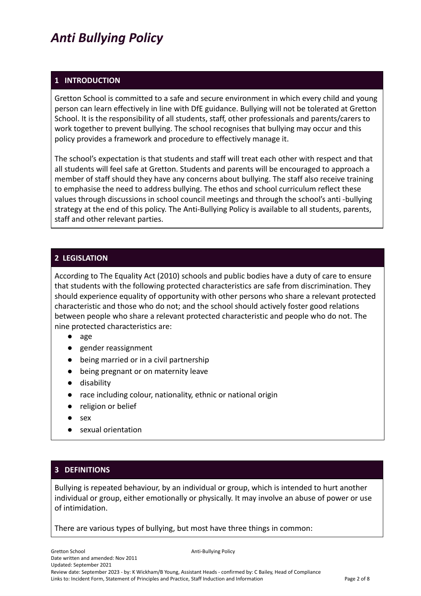#### **1 INTRODUCTION**

Gretton School is committed to a safe and secure environment in which every child and young person can learn effectively in line with DfE guidance. Bullying will not be tolerated at Gretton School. It is the responsibility of all students, staff, other professionals and parents/carers to work together to prevent bullying. The school recognises that bullying may occur and this policy provides a framework and procedure to effectively manage it.

The school's expectation is that students and staff will treat each other with respect and that all students will feel safe at Gretton. Students and parents will be encouraged to approach a member of staff should they have any concerns about bullying. The staff also receive training to emphasise the need to address bullying. The ethos and school curriculum reflect these values through discussions in school council meetings and through the school's anti -bullying strategy at the end of this policy. The Anti-Bullying Policy is available to all students, parents, staff and other relevant parties.

#### **2 LEGISLATION**

According to The Equality Act (2010) schools and public bodies have a duty of care to ensure that students with the following protected characteristics are safe from discrimination. They should experience equality of opportunity with other persons who share a relevant protected characteristic and those who do not; and the school should actively foster good relations between people who share a relevant protected characteristic and people who do not. The nine protected characteristics are:

- age
- gender reassignment
- being married or in a civil partnership
- being [pregnant](https://www.gov.uk/working-when-pregnant-your-rights) or on maternity leave
- [disability](https://www.gov.uk/definition-of-disability-under-equality-act-2010)
- race including colour, nationality, ethnic or national origin
- religion or belief
- sex
- sexual orientation

## **3 DEFINITIONS**

Bullying is repeated behaviour, by an individual or group, which is intended to hurt another individual or group, either emotionally or physically. It may involve an abuse of power or use of intimidation.

There are various types of bullying, but most have three things in common: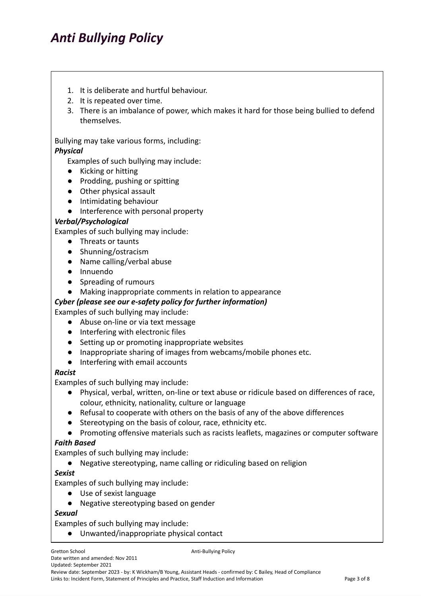- 1. It is deliberate and hurtful behaviour.
- 2. It is repeated over time.
- 3. There is an imbalance of power, which makes it hard for those being bullied to defend themselves.

Bullying may take various forms, including:

#### *Physical*

Examples of such bullying may include:

- Kicking or hitting
- Prodding, pushing or spitting
- Other physical assault
- Intimidating behaviour
- Interference with personal property

#### *Verbal/Psychological*

Examples of such bullying may include:

- Threats or taunts
- Shunning/ostracism
- Name calling/verbal abuse
- Innuendo
- Spreading of rumours
- Making inappropriate comments in relation to appearance

#### *Cyber (please see our e-safety policy for further information)*

Examples of such bullying may include:

- Abuse on-line or via text message
- Interfering with electronic files
- Setting up or promoting inappropriate websites
- Inappropriate sharing of images from webcams/mobile phones etc.
- Interfering with email accounts

#### *Racist*

Examples of such bullying may include:

- Physical, verbal, written, on-line or text abuse or ridicule based on differences of race, colour, ethnicity, nationality, culture or language
- Refusal to cooperate with others on the basis of any of the above differences
- Stereotyping on the basis of colour, race, ethnicity etc.
- Promoting offensive materials such as racists leaflets, magazines or computer software

#### *Faith Based*

Examples of such bullying may include:

● Negative stereotyping, name calling or ridiculing based on religion

#### *Sexist*

Examples of such bullying may include:

- Use of sexist language
- Negative stereotyping based on gender

#### *Sexual*

Examples of such bullying may include:

● Unwanted/inappropriate physical contact

Gretton School **Anti-Bullying Policy Anti-Bullying Policy** Date written and amended: Nov 2011 Updated: September 2021

Review date: September 2023 - by: K Wickham/B Young, Assistant Heads - confirmed by: C Bailey, Head of Compliance Links to: Incident Form, Statement of Principles and Practice, Staff Induction and Information Page 3 of 8 Page 3 of 8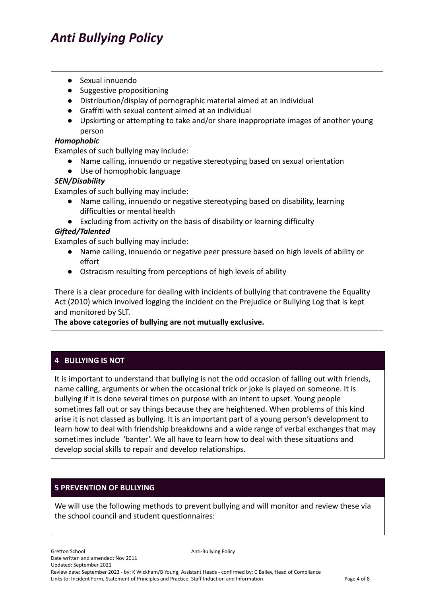- Sexual innuendo
- Suggestive propositioning
- Distribution/display of pornographic material aimed at an individual
- Graffiti with sexual content aimed at an individual
- Upskirting or attempting to take and/or share inappropriate images of another young person

#### *Homophobic*

Examples of such bullying may include:

- Name calling, innuendo or negative stereotyping based on sexual orientation
- Use of homophobic language

#### *SEN/Disability*

Examples of such bullying may include:

- Name calling, innuendo or negative stereotyping based on disability, learning difficulties or mental health
- Excluding from activity on the basis of disability or learning difficulty

#### *Gifted/Talented*

Examples of such bullying may include:

- Name calling, innuendo or negative peer pressure based on high levels of ability or effort
- Ostracism resulting from perceptions of high levels of ability

There is a clear procedure for dealing with incidents of bullying that contravene the Equality Act (2010) which involved logging the incident on the Prejudice or Bullying Log that is kept and monitored by SLT.

**The above categories of bullying are not mutually exclusive.**

## **4 BULLYING IS NOT**

It is important to understand that bullying is not the odd occasion of falling out with friends, name calling, arguments or when the occasional trick or joke is played on someone. It is bullying if it is done several times on purpose with an intent to upset. Young people sometimes fall out or say things because they are heightened. When problems of this kind arise it is not classed as bullying. It is an important part of a young person's development to learn how to deal with friendship breakdowns and a wide range of verbal exchanges that may sometimes include 'banter'. We all have to learn how to deal with these situations and develop social skills to repair and develop relationships.

#### **5 PREVENTION OF BULLYING**

We will use the following methods to prevent bullying and will monitor and review these via the school council and student questionnaires: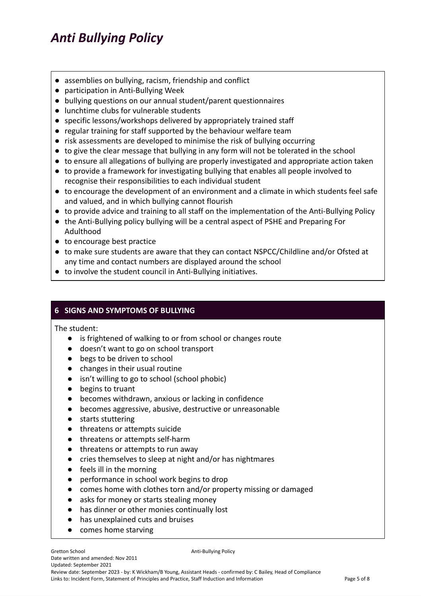- assemblies on bullying, racism, friendship and conflict
- participation in Anti-Bullying Week
- bullying questions on our annual student/parent questionnaires
- lunchtime clubs for vulnerable students
- specific lessons/workshops delivered by appropriately trained staff
- regular training for staff supported by the behaviour welfare team
- risk assessments are developed to minimise the risk of bullying occurring
- to give the clear message that bullying in any form will not be tolerated in the school
- to ensure all allegations of bullying are properly investigated and appropriate action taken
- to provide a framework for investigating bullying that enables all people involved to recognise their responsibilities to each individual student
- to encourage the development of an environment and a climate in which students feel safe and valued, and in which bullying cannot flourish
- to provide advice and training to all staff on the implementation of the Anti-Bullying Policy
- the Anti-Bullying policy bullying will be a central aspect of PSHE and Preparing For Adulthood
- to encourage best practice
- to make sure students are aware that they can contact NSPCC/Childline and/or Ofsted at any time and contact numbers are displayed around the school
- **●** to involve the student council in Anti-Bullying initiatives.

## **6 SIGNS AND SYMPTOMS OF BULLYING**

The student:

- is frightened of walking to or from school or changes route
- doesn't want to go on school transport
- begs to be driven to school
- changes in their usual routine
- isn't willing to go to school (school phobic)
- begins to truant
- becomes withdrawn, anxious or lacking in confidence
- becomes aggressive, abusive, destructive or unreasonable
- starts stuttering
- threatens or attempts suicide
- threatens or attempts self-harm
- threatens or attempts to run away
- cries themselves to sleep at night and/or has nightmares
- feels ill in the morning
- performance in school work begins to drop
- comes home with clothes torn and/or property missing or damaged
- asks for money or starts stealing money
- has dinner or other monies continually lost
- has unexplained cuts and bruises
- comes home starving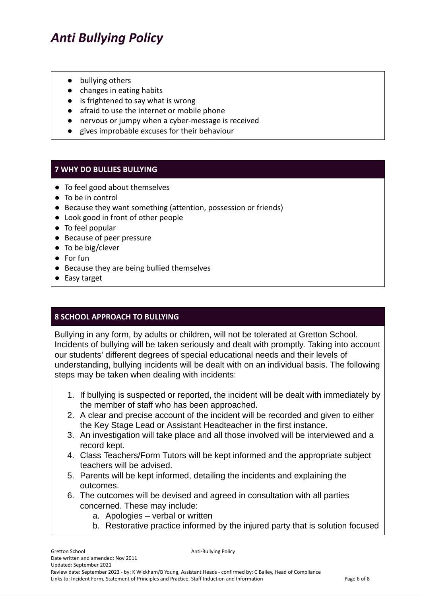- bullying others
- changes in eating habits
- is frightened to say what is wrong
- afraid to use the internet or mobile phone
- nervous or jumpy when a cyber-message is received
- gives improbable excuses for their behaviour

#### **7 WHY DO BULLIES BULLYING**

- To feel good about themselves
- To be in control
- Because they want something (attention, possession or friends)
- Look good in front of other people
- To feel popular
- Because of peer pressure
- To be big/clever
- For fun
- Because they are being bullied themselves
- Easy target

## **8 SCHOOL APPROACH TO BULLYING**

Bullying in any form, by adults or children, will not be tolerated at Gretton School. Incidents of bullying will be taken seriously and dealt with promptly. Taking into account our students' different degrees of special educational needs and their levels of understanding, bullying incidents will be dealt with on an individual basis. The following steps may be taken when dealing with incidents:

- 1. If bullying is suspected or reported, the incident will be dealt with immediately by the member of staff who has been approached.
- 2. A clear and precise account of the incident will be recorded and given to either the Key Stage Lead or Assistant Headteacher in the first instance.
- 3. An investigation will take place and all those involved will be interviewed and a record kept.
- 4. Class Teachers/Form Tutors will be kept informed and the appropriate subject teachers will be advised.
- 5. Parents will be kept informed, detailing the incidents and explaining the outcomes.
- 6. The outcomes will be devised and agreed in consultation with all parties concerned. These may include:
	- a. Apologies verbal or written
	- b. Restorative practice informed by the injured party that is solution focused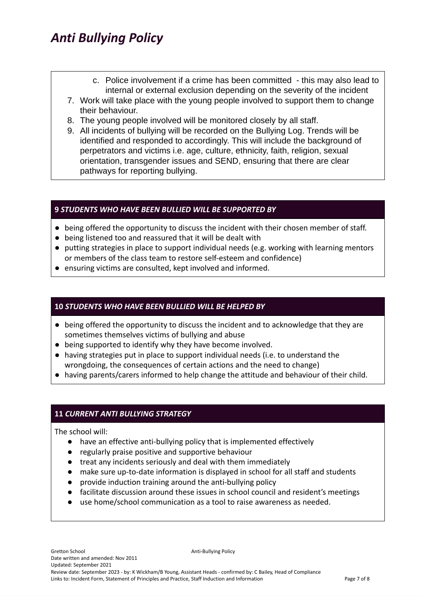- c. Police involvement if a crime has been committed this may also lead to internal or external exclusion depending on the severity of the incident
- 7. Work will take place with the young people involved to support them to change their behaviour.
- 8. The young people involved will be monitored closely by all staff.
- 9. All incidents of bullying will be recorded on the Bullying Log. Trends will be identified and responded to accordingly. This will include the background of perpetrators and victims i.e. age, culture, ethnicity, faith, religion, sexual orientation, transgender issues and SEND, ensuring that there are clear pathways for reporting bullying.

## **9** *STUDENTS WHO HAVE BEEN BULLIED WILL BE SUPPORTED BY*

- being offered the opportunity to discuss the incident with their chosen member of staff.
- being listened too and reassured that it will be dealt with
- putting strategies in place to support individual needs (e.g. working with learning mentors or members of the class team to restore self-esteem and confidence)
- ensuring victims are consulted, kept involved and informed.

## **10** *STUDENTS WHO HAVE BEEN BULLIED WILL BE HELPED BY*

- being offered the opportunity to discuss the incident and to acknowledge that they are sometimes themselves victims of bullying and abuse
- being supported to identify why they have become involved.
- having strategies put in place to support individual needs (i.e. to understand the wrongdoing, the consequences of certain actions and the need to change)
- having parents/carers informed to help change the attitude and behaviour of their child.

## **11** *CURRENT ANTI BULLYING STRATEGY*

The school will:

- have an effective anti-bullying policy that is implemented effectively
- regularly praise positive and supportive behaviour
- treat any incidents seriously and deal with them immediately
- make sure up-to-date information is displayed in school for all staff and students
- provide induction training around the anti-bullying policy
- facilitate discussion around these issues in school council and resident's meetings
- use home/school communication as a tool to raise awareness as needed.